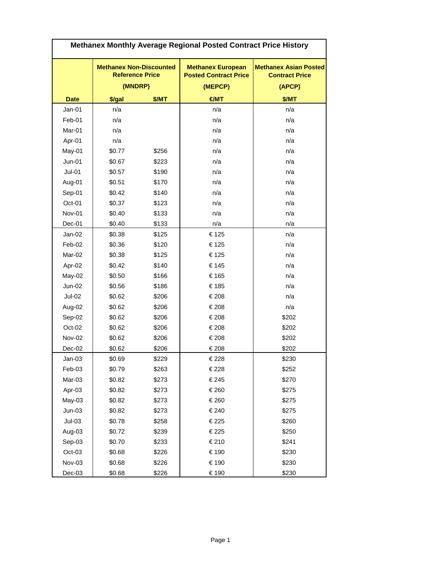| Methanex Monthly Average Regional Posted Contract Price History |                                                          |       |                                                          |                                                       |
|-----------------------------------------------------------------|----------------------------------------------------------|-------|----------------------------------------------------------|-------------------------------------------------------|
|                                                                 | <b>Methanex Non-Discounted</b><br><b>Reference Price</b> |       | <b>Methanex European</b><br><b>Posted Contract Price</b> | <b>Methanex Asian Posted</b><br><b>Contract Price</b> |
|                                                                 | (MNDRP)                                                  |       | (MEPCP)                                                  | (APCP)                                                |
| <b>Date</b>                                                     | \$/gal                                                   | \$/MT | $H =$                                                    | \$/MT                                                 |
| $Jan-01$                                                        | n/a                                                      |       | n/a                                                      | n/a                                                   |
| Feb-01                                                          | n/a                                                      |       | n/a                                                      | n/a                                                   |
| Mar-01                                                          | n/a                                                      |       | n/a                                                      | n/a                                                   |
| Apr-01                                                          | n/a                                                      |       | n/a                                                      | n/a                                                   |
| May-01                                                          | \$0.77                                                   | \$256 | n/a                                                      | n/a                                                   |
| $Jun-01$                                                        | \$0.67                                                   | \$223 | n/a                                                      | n/a                                                   |
| $Jul-01$                                                        | \$0.57                                                   | \$190 | n/a                                                      | n/a                                                   |
| Aug-01                                                          | \$0.51                                                   | \$170 | n/a                                                      | n/a                                                   |
| Sep-01                                                          | \$0.42                                                   | \$140 | n/a                                                      | n/a                                                   |
| Oct-01                                                          | \$0.37                                                   | \$123 | n/a                                                      | n/a                                                   |
| Nov-01                                                          | \$0.40                                                   | \$133 | n/a                                                      | n/a                                                   |
| Dec-01                                                          | \$0.40                                                   | \$133 | n/a                                                      | n/a                                                   |
| $Jan-02$                                                        | \$0.38                                                   | \$125 | €125                                                     | n/a                                                   |
| Feb-02                                                          | \$0.36                                                   | \$120 | €125                                                     | n/a                                                   |
| Mar-02                                                          | \$0.38                                                   | \$125 | €125                                                     | n/a                                                   |
| Apr-02                                                          | \$0.42                                                   | \$140 | €145                                                     | n/a                                                   |
| May-02                                                          | \$0.50                                                   | \$166 | €165                                                     | n/a                                                   |
| Jun-02                                                          | \$0.56                                                   | \$186 | €185                                                     | n/a                                                   |
| Jul-02                                                          | \$0.62                                                   | \$206 | €208                                                     | n/a                                                   |
| Aug-02                                                          | \$0.62                                                   | \$206 | €208                                                     | n/a                                                   |
| Sep-02                                                          | \$0.62                                                   | \$206 | €208                                                     | \$202                                                 |
| Oct-02                                                          | \$0.62                                                   | \$206 | €208                                                     | \$202                                                 |
| <b>Nov-02</b>                                                   | \$0.62                                                   | \$206 | €208                                                     | \$202                                                 |
| Dec-02                                                          | \$0.62                                                   | \$206 | €208                                                     | \$202                                                 |
| $Jan-03$                                                        | \$0.69                                                   | \$229 | €228                                                     | \$230                                                 |
| Feb-03                                                          | \$0.79                                                   | \$263 | €228                                                     | \$252                                                 |
| Mar-03                                                          | \$0.82                                                   | \$273 | €245                                                     | \$270                                                 |
| Apr-03                                                          | \$0.82                                                   | \$273 | €260                                                     | \$275                                                 |
| May-03                                                          | \$0.82                                                   | \$273 | €260                                                     | \$275                                                 |
| $Jun-03$                                                        | \$0.82                                                   | \$273 | €240                                                     | \$275                                                 |
| $Jul-03$                                                        | \$0.78                                                   | \$258 | €225                                                     | \$260                                                 |
| Aug-03                                                          | \$0.72                                                   | \$239 | €225                                                     | \$250                                                 |
| Sep-03                                                          | \$0.70                                                   | \$233 | €210                                                     | \$241                                                 |
| Oct-03                                                          | \$0.68                                                   | \$226 | €190                                                     | \$230                                                 |
| Nov-03                                                          | \$0.68                                                   | \$226 | €190                                                     | \$230                                                 |
| Dec-03                                                          | \$0.68                                                   | \$226 | €190                                                     | \$230                                                 |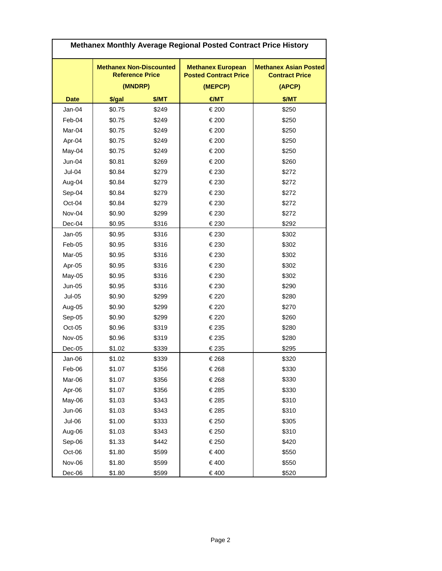| Methanex Monthly Average Regional Posted Contract Price History |                                                          |       |                                                          |                                                       |
|-----------------------------------------------------------------|----------------------------------------------------------|-------|----------------------------------------------------------|-------------------------------------------------------|
|                                                                 | <b>Methanex Non-Discounted</b><br><b>Reference Price</b> |       | <b>Methanex European</b><br><b>Posted Contract Price</b> | <b>Methanex Asian Posted</b><br><b>Contract Price</b> |
|                                                                 | (MNDRP)                                                  |       | (MEPCP)                                                  | (APCP)                                                |
| <b>Date</b>                                                     | \$/gal                                                   | \$/MT | $H =$                                                    | \$/MT                                                 |
| Jan-04                                                          | \$0.75                                                   | \$249 | €200                                                     | \$250                                                 |
| Feb-04                                                          | \$0.75                                                   | \$249 | €200                                                     | \$250                                                 |
| Mar-04                                                          | \$0.75                                                   | \$249 | €200                                                     | \$250                                                 |
| Apr-04                                                          | \$0.75                                                   | \$249 | €200                                                     | \$250                                                 |
| May-04                                                          | \$0.75                                                   | \$249 | €200                                                     | \$250                                                 |
| $Jun-04$                                                        | \$0.81                                                   | \$269 | €200                                                     | \$260                                                 |
| Jul-04                                                          | \$0.84                                                   | \$279 | €230                                                     | \$272                                                 |
| Aug-04                                                          | \$0.84                                                   | \$279 | €230                                                     | \$272                                                 |
| Sep-04                                                          | \$0.84                                                   | \$279 | €230                                                     | \$272                                                 |
| Oct-04                                                          | \$0.84                                                   | \$279 | €230                                                     | \$272                                                 |
| Nov-04                                                          | \$0.90                                                   | \$299 | €230                                                     | \$272                                                 |
| Dec-04                                                          | \$0.95                                                   | \$316 | €230                                                     | \$292                                                 |
| $Jan-05$                                                        | \$0.95                                                   | \$316 | €230                                                     | \$302                                                 |
| Feb-05                                                          | \$0.95                                                   | \$316 | €230                                                     | \$302                                                 |
| Mar-05                                                          | \$0.95                                                   | \$316 | €230                                                     | \$302                                                 |
| Apr-05                                                          | \$0.95                                                   | \$316 | €230                                                     | \$302                                                 |
| May-05                                                          | \$0.95                                                   | \$316 | €230                                                     | \$302                                                 |
| $Jun-05$                                                        | \$0.95                                                   | \$316 | €230                                                     | \$290                                                 |
| $Jul-05$                                                        | \$0.90                                                   | \$299 | €220                                                     | \$280                                                 |
| Aug-05                                                          | \$0.90                                                   | \$299 | €220                                                     | \$270                                                 |
| Sep-05                                                          | \$0.90                                                   | \$299 | €220                                                     | \$260                                                 |
| Oct-05                                                          | \$0.96                                                   | \$319 | €235                                                     | \$280                                                 |
| <b>Nov-05</b>                                                   | \$0.96                                                   | \$319 | €235                                                     | \$280                                                 |
| Dec-05                                                          | \$1.02                                                   | \$339 | €235                                                     | \$295                                                 |
| Jan-06                                                          | \$1.02                                                   | \$339 | €268                                                     | \$320                                                 |
| Feb-06                                                          | \$1.07                                                   | \$356 | €268                                                     | \$330                                                 |
| Mar-06                                                          | \$1.07                                                   | \$356 | €268                                                     | \$330                                                 |
| Apr-06                                                          | \$1.07                                                   | \$356 | €285                                                     | \$330                                                 |
| May-06                                                          | \$1.03                                                   | \$343 | €285                                                     | \$310                                                 |
| Jun-06                                                          | \$1.03                                                   | \$343 | €285                                                     | \$310                                                 |
| Jul-06                                                          | \$1.00                                                   | \$333 | €250                                                     | \$305                                                 |
| Aug-06                                                          | \$1.03                                                   | \$343 | €250                                                     | \$310                                                 |
| Sep-06                                                          | \$1.33                                                   | \$442 | €250                                                     | \$420                                                 |
| Oct-06                                                          | \$1.80                                                   | \$599 | €400                                                     | \$550                                                 |
| Nov-06                                                          | \$1.80                                                   | \$599 | €400                                                     | \$550                                                 |
| Dec-06                                                          | \$1.80                                                   | \$599 | €400                                                     | \$520                                                 |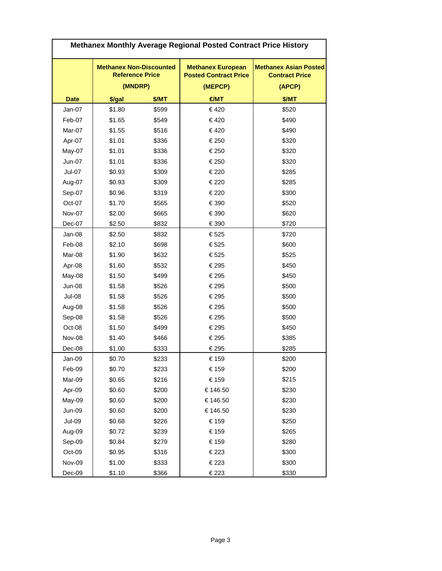| Methanex Monthly Average Regional Posted Contract Price History |                                                          |       |                                                          |                                                       |
|-----------------------------------------------------------------|----------------------------------------------------------|-------|----------------------------------------------------------|-------------------------------------------------------|
|                                                                 | <b>Methanex Non-Discounted</b><br><b>Reference Price</b> |       | <b>Methanex European</b><br><b>Posted Contract Price</b> | <b>Methanex Asian Posted</b><br><b>Contract Price</b> |
|                                                                 | (MNDRP)                                                  |       | (MEPCP)                                                  | (APCP)                                                |
| <b>Date</b>                                                     | \$/gal                                                   | \$/MT | $H =$                                                    | \$/MT                                                 |
| $Jan-07$                                                        | \$1.80                                                   | \$599 | €420                                                     | \$520                                                 |
| Feb-07                                                          | \$1.65                                                   | \$549 | €420                                                     | \$490                                                 |
| Mar-07                                                          | \$1.55                                                   | \$516 | €420                                                     | \$490                                                 |
| Apr-07                                                          | \$1.01                                                   | \$336 | €250                                                     | \$320                                                 |
| May-07                                                          | \$1.01                                                   | \$336 | €250                                                     | \$320                                                 |
| Jun-07                                                          | \$1.01                                                   | \$336 | €250                                                     | \$320                                                 |
| <b>Jul-07</b>                                                   | \$0.93                                                   | \$309 | €220                                                     | \$285                                                 |
| Aug-07                                                          | \$0.93                                                   | \$309 | €220                                                     | \$285                                                 |
| Sep-07                                                          | \$0.96                                                   | \$319 | €220                                                     | \$300                                                 |
| Oct-07                                                          | \$1.70                                                   | \$565 | €390                                                     | \$520                                                 |
| Nov-07                                                          | \$2.00                                                   | \$665 | €390                                                     | \$620                                                 |
| Dec-07                                                          | \$2.50                                                   | \$832 | €390                                                     | \$720                                                 |
| Jan-08                                                          | \$2.50                                                   | \$832 | €525                                                     | \$720                                                 |
| Feb-08                                                          | \$2.10                                                   | \$698 | €525                                                     | \$600                                                 |
| Mar-08                                                          | \$1.90                                                   | \$632 | €525                                                     | \$525                                                 |
| Apr-08                                                          | \$1.60                                                   | \$532 | €295                                                     | \$450                                                 |
| May-08                                                          | \$1.50                                                   | \$499 | €295                                                     | \$450                                                 |
| <b>Jun-08</b>                                                   | \$1.58                                                   | \$526 | €295                                                     | \$500                                                 |
| Jul-08                                                          | \$1.58                                                   | \$526 | €295                                                     | \$500                                                 |
| Aug-08                                                          | \$1.58                                                   | \$526 | €295                                                     | \$500                                                 |
| Sep-08                                                          | \$1.58                                                   | \$526 | €295                                                     | \$500                                                 |
| Oct-08                                                          | \$1.50                                                   | \$499 | €295                                                     | \$450                                                 |
| Nov-08                                                          | \$1.40                                                   | \$466 | €295                                                     | \$385                                                 |
| Dec-08                                                          | \$1.00                                                   | \$333 | €295                                                     | \$285                                                 |
| Jan-09                                                          | \$0.70                                                   | \$233 | €159                                                     | \$200                                                 |
| Feb-09                                                          | \$0.70                                                   | \$233 | €159                                                     | \$200                                                 |
| Mar-09                                                          | \$0.65                                                   | \$216 | €159                                                     | \$215                                                 |
| Apr-09                                                          | \$0.60                                                   | \$200 | €146.50                                                  | \$230                                                 |
| May-09                                                          | \$0.60                                                   | \$200 | €146.50                                                  | \$230                                                 |
| Jun-09                                                          | \$0.60                                                   | \$200 | €146.50                                                  | \$230                                                 |
| <b>Jul-09</b>                                                   | \$0.68                                                   | \$226 | €159                                                     | \$250                                                 |
| Aug-09                                                          | \$0.72                                                   | \$239 | €159                                                     | \$265                                                 |
| Sep-09                                                          | \$0.84                                                   | \$279 | €159                                                     | \$280                                                 |
| Oct-09                                                          | \$0.95                                                   | \$316 | €223                                                     | \$300                                                 |
| Nov-09                                                          | \$1.00                                                   | \$333 | €223                                                     | \$300                                                 |
| Dec-09                                                          | \$1.10                                                   | \$366 | €223                                                     | \$330                                                 |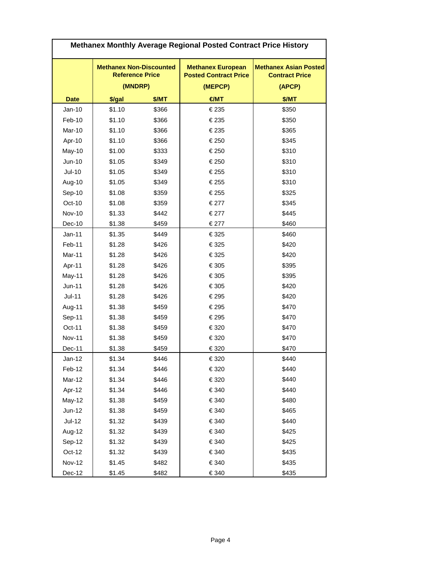| Methanex Monthly Average Regional Posted Contract Price History |                                                          |       |                                                          |                                                       |
|-----------------------------------------------------------------|----------------------------------------------------------|-------|----------------------------------------------------------|-------------------------------------------------------|
|                                                                 | <b>Methanex Non-Discounted</b><br><b>Reference Price</b> |       | <b>Methanex European</b><br><b>Posted Contract Price</b> | <b>Methanex Asian Posted</b><br><b>Contract Price</b> |
|                                                                 | (MNDRP)                                                  |       | (MEPCP)                                                  | (APCP)                                                |
| <b>Date</b>                                                     | \$/gal                                                   | \$/MT | $H =$                                                    | \$/MT                                                 |
| $Jan-10$                                                        | \$1.10                                                   | \$366 | €235                                                     | \$350                                                 |
| Feb-10                                                          | \$1.10                                                   | \$366 | €235                                                     | \$350                                                 |
| Mar-10                                                          | \$1.10                                                   | \$366 | €235                                                     | \$365                                                 |
| Apr-10                                                          | \$1.10                                                   | \$366 | €250                                                     | \$345                                                 |
| May-10                                                          | \$1.00                                                   | \$333 | €250                                                     | \$310                                                 |
| Jun-10                                                          | \$1.05                                                   | \$349 | €250                                                     | \$310                                                 |
| $Jul-10$                                                        | \$1.05                                                   | \$349 | €255                                                     | \$310                                                 |
| Aug-10                                                          | \$1.05                                                   | \$349 | €255                                                     | \$310                                                 |
| Sep-10                                                          | \$1.08                                                   | \$359 | €255                                                     | \$325                                                 |
| Oct-10                                                          | \$1.08                                                   | \$359 | €277                                                     | \$345                                                 |
| <b>Nov-10</b>                                                   | \$1.33                                                   | \$442 | €277                                                     | \$445                                                 |
| Dec-10                                                          | \$1.38                                                   | \$459 | €277                                                     | \$460                                                 |
| $Jan-11$                                                        | \$1.35                                                   | \$449 | €325                                                     | \$460                                                 |
| Feb-11                                                          | \$1.28                                                   | \$426 | €325                                                     | \$420                                                 |
| Mar-11                                                          | \$1.28                                                   | \$426 | €325                                                     | \$420                                                 |
| Apr-11                                                          | \$1.28                                                   | \$426 | €305                                                     | \$395                                                 |
| May-11                                                          | \$1.28                                                   | \$426 | €305                                                     | \$395                                                 |
| $Jun-11$                                                        | \$1.28                                                   | \$426 | €305                                                     | \$420                                                 |
| $Jul-11$                                                        | \$1.28                                                   | \$426 | €295                                                     | \$420                                                 |
| Aug-11                                                          | \$1.38                                                   | \$459 | €295                                                     | \$470                                                 |
| Sep-11                                                          | \$1.38                                                   | \$459 | €295                                                     | \$470                                                 |
| Oct-11                                                          | \$1.38                                                   | \$459 | €320                                                     | \$470                                                 |
| <b>Nov-11</b>                                                   | \$1.38                                                   | \$459 | €320                                                     | \$470                                                 |
| Dec-11                                                          | \$1.38                                                   | \$459 | €320                                                     | \$470                                                 |
| $Jan-12$                                                        | \$1.34                                                   | \$446 | €320                                                     | \$440                                                 |
| Feb-12                                                          | \$1.34                                                   | \$446 | €320                                                     | \$440                                                 |
| Mar-12                                                          | \$1.34                                                   | \$446 | €320                                                     | \$440                                                 |
| Apr-12                                                          | \$1.34                                                   | \$446 | €340                                                     | \$440                                                 |
| May-12                                                          | \$1.38                                                   | \$459 | €340                                                     | \$480                                                 |
| $Jun-12$                                                        | \$1.38                                                   | \$459 | €340                                                     | \$465                                                 |
| $Jul-12$                                                        | \$1.32                                                   | \$439 | €340                                                     | \$440                                                 |
| Aug-12                                                          | \$1.32                                                   | \$439 | €340                                                     | \$425                                                 |
| Sep-12                                                          | \$1.32                                                   | \$439 | €340                                                     | \$425                                                 |
| Oct-12                                                          | \$1.32                                                   | \$439 | €340                                                     | \$435                                                 |
| <b>Nov-12</b>                                                   | \$1.45                                                   | \$482 | €340                                                     | \$435                                                 |
| Dec-12                                                          | \$1.45                                                   | \$482 | €340                                                     | \$435                                                 |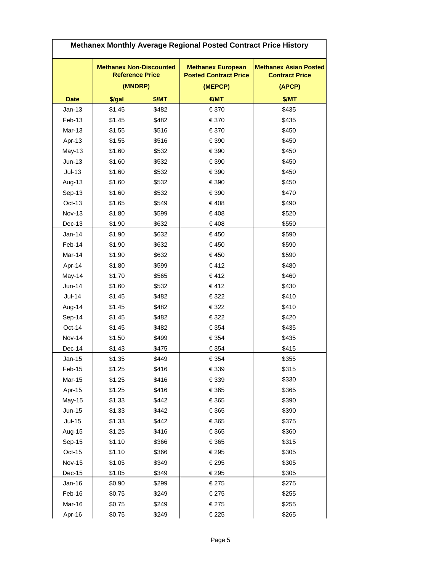| Methanex Monthly Average Regional Posted Contract Price History |                                                          |       |                                                          |                                                       |
|-----------------------------------------------------------------|----------------------------------------------------------|-------|----------------------------------------------------------|-------------------------------------------------------|
|                                                                 | <b>Methanex Non-Discounted</b><br><b>Reference Price</b> |       | <b>Methanex European</b><br><b>Posted Contract Price</b> | <b>Methanex Asian Posted</b><br><b>Contract Price</b> |
|                                                                 | (MNDRP)                                                  |       | (MEPCP)                                                  | (APCP)                                                |
| <b>Date</b>                                                     | \$/gal                                                   | \$/MT | H                                                        | \$/MT                                                 |
| $Jan-13$                                                        | \$1.45                                                   | \$482 | €370                                                     | \$435                                                 |
| Feb-13                                                          | \$1.45                                                   | \$482 | €370                                                     | \$435                                                 |
| Mar-13                                                          | \$1.55                                                   | \$516 | €370                                                     | \$450                                                 |
| Apr-13                                                          | \$1.55                                                   | \$516 | €390                                                     | \$450                                                 |
| <b>May-13</b>                                                   | \$1.60                                                   | \$532 | €390                                                     | \$450                                                 |
| $Jun-13$                                                        | \$1.60                                                   | \$532 | €390                                                     | \$450                                                 |
| $Jul-13$                                                        | \$1.60                                                   | \$532 | € 390                                                    | \$450                                                 |
| Aug-13                                                          | \$1.60                                                   | \$532 | €390                                                     | \$450                                                 |
| Sep-13                                                          | \$1.60                                                   | \$532 | €390                                                     | \$470                                                 |
| $Oct-13$                                                        | \$1.65                                                   | \$549 | €408                                                     | \$490                                                 |
| <b>Nov-13</b>                                                   | \$1.80                                                   | \$599 | €408                                                     | \$520                                                 |
| Dec-13                                                          | \$1.90                                                   | \$632 | €408                                                     | \$550                                                 |
| $Jan-14$                                                        | \$1.90                                                   | \$632 | €450                                                     | \$590                                                 |
| Feb-14                                                          | \$1.90                                                   | \$632 | €450                                                     | \$590                                                 |
| Mar-14                                                          | \$1.90                                                   | \$632 | €450                                                     | \$590                                                 |
| Apr-14                                                          | \$1.80                                                   | \$599 | €412                                                     | \$480                                                 |
| May-14                                                          | \$1.70                                                   | \$565 | €412                                                     | \$460                                                 |
| $Jun-14$                                                        | \$1.60                                                   | \$532 | €412                                                     | \$430                                                 |
| $Jul-14$                                                        | \$1.45                                                   | \$482 | €322                                                     | \$410                                                 |
| Aug-14                                                          | \$1.45                                                   | \$482 | €322                                                     | \$410                                                 |
| Sep-14                                                          | \$1.45                                                   | \$482 | €322                                                     | \$420                                                 |
| Oct-14                                                          | \$1.45                                                   | \$482 | €354                                                     | \$435                                                 |
| <b>Nov-14</b>                                                   | \$1.50                                                   | \$499 | €354                                                     | \$435                                                 |
| Dec-14                                                          | \$1.43                                                   | \$475 | €354                                                     | \$415                                                 |
| $Jan-15$                                                        | \$1.35                                                   | \$449 | €354                                                     | \$355                                                 |
| Feb-15                                                          | \$1.25                                                   | \$416 | €339                                                     | \$315                                                 |
| Mar-15                                                          | \$1.25                                                   | \$416 | €339                                                     | \$330                                                 |
| Apr-15                                                          | \$1.25                                                   | \$416 | €365                                                     | \$365                                                 |
| May-15                                                          | \$1.33                                                   | \$442 | €365                                                     | \$390                                                 |
| <b>Jun-15</b>                                                   | \$1.33                                                   | \$442 | €365                                                     | \$390                                                 |
| $Jul-15$                                                        | \$1.33                                                   | \$442 | €365                                                     | \$375                                                 |
| Aug-15                                                          | \$1.25                                                   | \$416 | €365                                                     | \$360                                                 |
| Sep-15                                                          | \$1.10                                                   | \$366 | €365                                                     | \$315                                                 |
| Oct-15                                                          | \$1.10                                                   | \$366 | €295                                                     | \$305                                                 |
| <b>Nov-15</b>                                                   | \$1.05                                                   | \$349 | €295                                                     | \$305                                                 |
| Dec-15                                                          | \$1.05                                                   | \$349 | €295                                                     | \$305                                                 |
| $Jan-16$                                                        | \$0.90                                                   | \$299 | €275                                                     | \$275                                                 |
| Feb-16                                                          | \$0.75                                                   | \$249 | €275                                                     | \$255                                                 |
| Mar-16                                                          | \$0.75                                                   | \$249 | €275                                                     | \$255                                                 |
| Apr-16                                                          | \$0.75                                                   | \$249 | €225                                                     | \$265                                                 |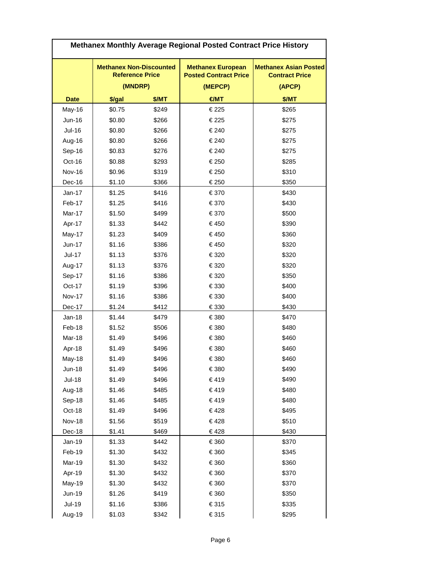| Methanex Monthly Average Regional Posted Contract Price History |                                                          |       |                                                          |                                                       |
|-----------------------------------------------------------------|----------------------------------------------------------|-------|----------------------------------------------------------|-------------------------------------------------------|
|                                                                 | <b>Methanex Non-Discounted</b><br><b>Reference Price</b> |       | <b>Methanex European</b><br><b>Posted Contract Price</b> | <b>Methanex Asian Posted</b><br><b>Contract Price</b> |
|                                                                 | (MNDRP)                                                  |       | (MEPCP)                                                  | (APCP)                                                |
| <b>Date</b>                                                     | \$/gal                                                   | \$/MT | H                                                        | \$/MT                                                 |
| May-16                                                          | \$0.75                                                   | \$249 | €225                                                     | \$265                                                 |
| Jun-16                                                          | \$0.80                                                   | \$266 | €225                                                     | \$275                                                 |
| <b>Jul-16</b>                                                   | \$0.80                                                   | \$266 | €240                                                     | \$275                                                 |
| Aug-16                                                          | \$0.80                                                   | \$266 | €240                                                     | \$275                                                 |
| Sep-16                                                          | \$0.83                                                   | \$276 | €240                                                     | \$275                                                 |
| Oct-16                                                          | \$0.88                                                   | \$293 | €250                                                     | \$285                                                 |
| <b>Nov-16</b>                                                   | \$0.96                                                   | \$319 | €250                                                     | \$310                                                 |
| Dec-16                                                          | \$1.10                                                   | \$366 | €250                                                     | \$350                                                 |
| $Jan-17$                                                        | \$1.25                                                   | \$416 | €370                                                     | \$430                                                 |
| Feb-17                                                          | \$1.25                                                   | \$416 | €370                                                     | \$430                                                 |
| Mar-17                                                          | \$1.50                                                   | \$499 | €370                                                     | \$500                                                 |
| Apr-17                                                          | \$1.33                                                   | \$442 | €450                                                     | \$390                                                 |
| May-17                                                          | \$1.23                                                   | \$409 | €450                                                     | \$360                                                 |
| Jun-17                                                          | \$1.16                                                   | \$386 | €450                                                     | \$320                                                 |
| $Jul-17$                                                        | \$1.13                                                   | \$376 | €320                                                     | \$320                                                 |
| Aug-17                                                          | \$1.13                                                   | \$376 | €320                                                     | \$320                                                 |
| Sep-17                                                          | \$1.16                                                   | \$386 | €320                                                     | \$350                                                 |
| Oct-17                                                          | \$1.19                                                   | \$396 | €330                                                     | \$400                                                 |
| <b>Nov-17</b>                                                   | \$1.16                                                   | \$386 | €330                                                     | \$400                                                 |
| Dec-17                                                          | \$1.24                                                   | \$412 | €330                                                     | \$430                                                 |
| $Jan-18$                                                        | \$1.44                                                   | \$479 | €380                                                     | \$470                                                 |
| Feb-18                                                          | \$1.52                                                   | \$506 | €380                                                     | \$480                                                 |
| Mar-18                                                          | \$1.49                                                   | \$496 | €380                                                     | \$460                                                 |
| Apr-18                                                          | \$1.49                                                   | \$496 | €380                                                     | \$460                                                 |
| May-18                                                          | \$1.49                                                   | \$496 | €380                                                     | \$460                                                 |
| <b>Jun-18</b>                                                   | \$1.49                                                   | \$496 | €380                                                     | \$490                                                 |
| <b>Jul-18</b>                                                   | \$1.49                                                   | \$496 | €419                                                     | \$490                                                 |
| Aug-18                                                          | \$1.46                                                   | \$485 | €419                                                     | \$480                                                 |
| Sep-18                                                          | \$1.46                                                   | \$485 | €419                                                     | \$480                                                 |
| Oct-18                                                          | \$1.49                                                   | \$496 | €428                                                     | \$495                                                 |
| <b>Nov-18</b>                                                   | \$1.56                                                   | \$519 | €428                                                     | \$510                                                 |
| $Dec-18$                                                        | \$1.41                                                   | \$469 | €428                                                     | \$430                                                 |
| Jan-19                                                          | \$1.33                                                   | \$442 | €360                                                     | \$370                                                 |
| Feb-19                                                          | \$1.30                                                   | \$432 | €360                                                     | \$345                                                 |
| Mar-19                                                          | \$1.30                                                   | \$432 | €360                                                     | \$360                                                 |
| Apr-19                                                          | \$1.30                                                   | \$432 | €360                                                     | \$370                                                 |
| May-19                                                          | \$1.30                                                   | \$432 | €360                                                     | \$370                                                 |
| Jun-19                                                          | \$1.26                                                   | \$419 | €360                                                     | \$350                                                 |
| <b>Jul-19</b>                                                   | \$1.16                                                   | \$386 | €315                                                     | \$335                                                 |
| Aug-19                                                          | \$1.03                                                   | \$342 | €315                                                     | \$295                                                 |